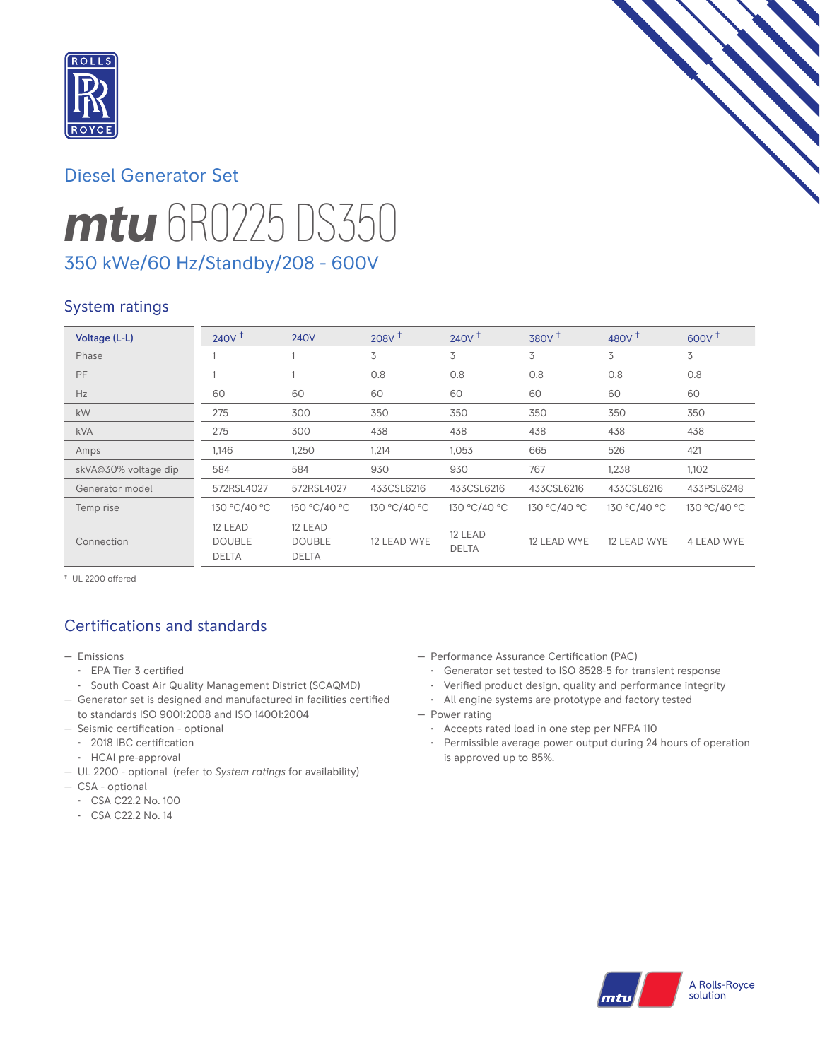

# *mtu* 6R0225 DS350 Diesel Generator Set 350 kWe/60 Hz/Standby/208 - 600V

### System ratings

| Voltage (L-L)        | $240V$ <sup>t</sup>                      | <b>240V</b>                              | $208V$ <sup>+</sup> | 240V <sup>†</sup>       | $380V$ <sup>+</sup> | 480V <sup>†</sup> | $600V^{\dagger}$ |
|----------------------|------------------------------------------|------------------------------------------|---------------------|-------------------------|---------------------|-------------------|------------------|
| Phase                |                                          |                                          | 3                   | 3                       | 3                   | 3                 | 3                |
| PF                   |                                          |                                          | 0.8                 | 0.8                     | 0.8                 | 0.8               | 0.8              |
| Hz                   | 60                                       | 60                                       | 60                  | 60                      | 60                  | 60                | 60               |
| kW                   | 275                                      | 300                                      | 350                 | 350                     | 350                 | 350               | 350              |
| <b>kVA</b>           | 275                                      | 300                                      | 438                 | 438                     | 438                 | 438               | 438              |
| Amps                 | 1,146                                    | 1,250                                    | 1,214               | 1,053                   | 665                 | 526               | 421              |
| skVA@30% voltage dip | 584                                      | 584                                      | 930                 | 930                     | 767                 | 1,238             | 1,102            |
| Generator model      | 572RSL4027                               | 572RSL4027                               | 433CSL6216          | 433CSL6216              | 433CSL6216          | 433CSL6216        | 433PSL6248       |
| Temp rise            | 130 °C/40 °C                             | 150 °C/40 °C                             | 130 °C/40 °C        | 130 °C/40 °C            | 130 °C/40 °C        | 130 °C/40 °C      | 130 °C/40 °C     |
| Connection           | 12 LEAD<br><b>DOUBLE</b><br><b>DELTA</b> | 12 LEAD<br><b>DOUBLE</b><br><b>DELTA</b> | 12 LEAD WYE         | 12 LEAD<br><b>DELTA</b> | 12 LEAD WYE         | 12 LEAD WYE       | 4 LEAD WYE       |

† UL 2200 offered

### Certifications and standards

- Emissions
	- EPA Tier 3 certified
- South Coast Air Quality Management District (SCAQMD)
- Generator set is designed and manufactured in facilities certified to standards ISO 9001:2008 and ISO 14001:2004
- Seismic certification optional
- 2018 IBC certification
- HCAI pre-approval
- UL 2200 optional (refer to *System ratings* for availability)
- CSA optional
	- CSA C22.2 No. 100
	- CSA C22.2 No. 14
- Performance Assurance Certification (PAC)
	- Generator set tested to ISO 8528-5 for transient response
	- Verified product design, quality and performance integrity
	- All engine systems are prototype and factory tested
- Power rating
	- Accepts rated load in one step per NFPA 110
	- Permissible average power output during 24 hours of operation is approved up to 85%.

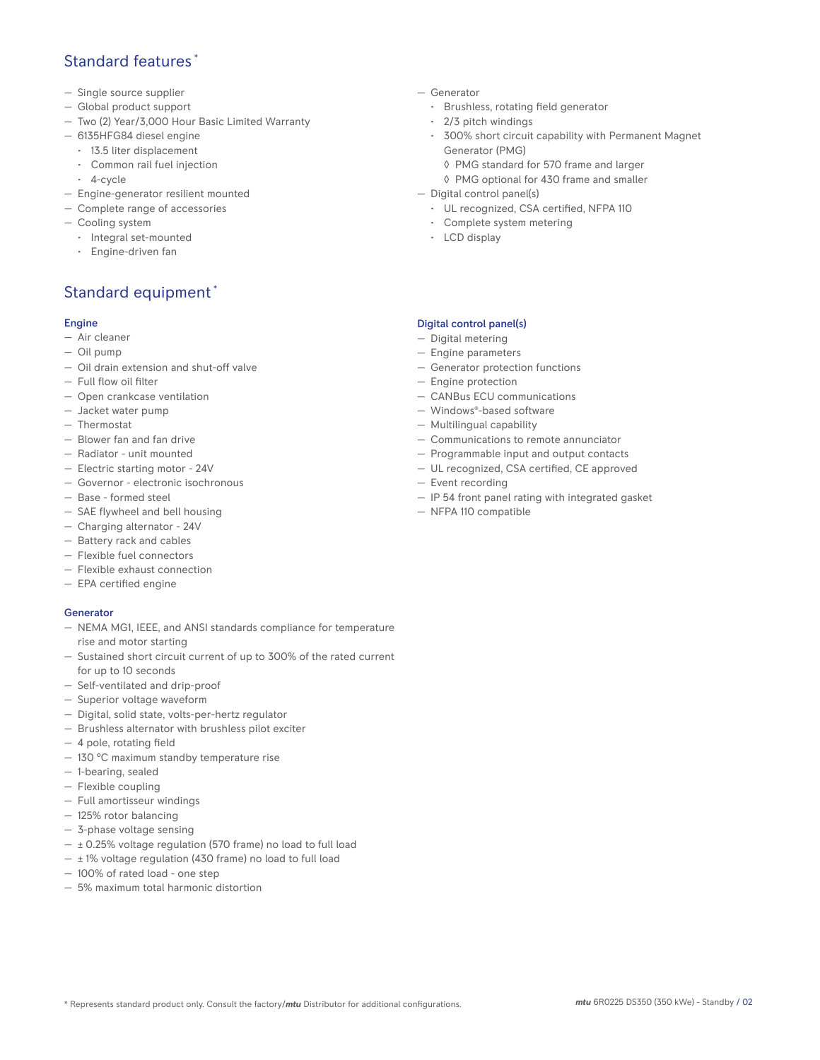### Standard features \*

- Single source supplier
- Global product support
- Two (2) Year/3,000 Hour Basic Limited Warranty
- 6135HFG84 diesel engine
- 13.5 liter displacement
- Common rail fuel injection
- 4-cycle
- Engine-generator resilient mounted
- Complete range of accessories
- Cooling system
- Integral set-mounted
	- Engine-driven fan

### Standard equipment \*

#### Engine

- Air cleaner
- Oil pump
- Oil drain extension and shut-off valve
- Full flow oil filter
- Open crankcase ventilation
- Jacket water pump
- Thermostat
- Blower fan and fan drive
- Radiator unit mounted
- Electric starting motor 24V
- Governor electronic isochronous
- Base formed steel
- SAE flywheel and bell housing
- Charging alternator 24V
- Battery rack and cables
- Flexible fuel connectors
- Flexible exhaust connection
- EPA certified engine

#### **Generator**

- NEMA MG1, IEEE, and ANSI standards compliance for temperature rise and motor starting
- Sustained short circuit current of up to 300% of the rated current for up to 10 seconds
- Self-ventilated and drip-proof
- Superior voltage waveform
- Digital, solid state, volts-per-hertz regulator
- Brushless alternator with brushless pilot exciter
- 4 pole, rotating field
- 130 °C maximum standby temperature rise
- 1-bearing, sealed
- Flexible coupling
- Full amortisseur windings
- 125% rotor balancing
- 3-phase voltage sensing
- $\pm$  0.25% voltage regulation (570 frame) no load to full load
- $\pm$  1% voltage regulation (430 frame) no load to full load
- 100% of rated load one step
- 5% maximum total harmonic distortion
- Generator
	- Brushless, rotating field generator
	- 2/3 pitch windings
	- 300% short circuit capability with Permanent Magnet Generator (PMG)
		- ◊ PMG standard for 570 frame and larger
		- ◊ PMG optional for 430 frame and smaller
- Digital control panel(s)
	- UL recognized, CSA certified, NFPA 110
	- Complete system metering
	- LCD display

#### Digital control panel(s)

- Digital metering
- Engine parameters
- Generator protection functions
- Engine protection
- CANBus ECU communications
- Windows®-based software
- Multilingual capability
- Communications to remote annunciator
- Programmable input and output contacts
- UL recognized, CSA certified, CE approved
- Event recording
- IP 54 front panel rating with integrated gasket
- NFPA 110 compatible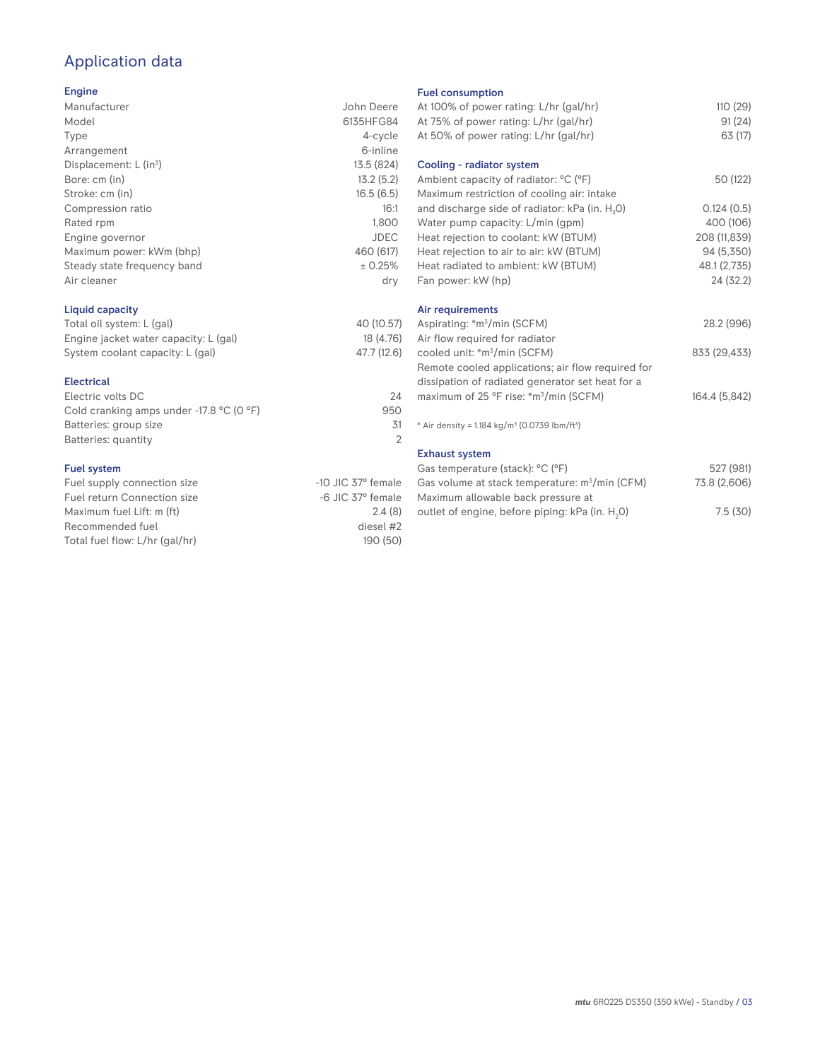## Application data

#### Engine

| Manufacturer                | John Deere |
|-----------------------------|------------|
| Model                       | 6135HFG84  |
| Type                        | 4-cycle    |
| Arrangement                 | 6-inline   |
| Displacement: $L (in3)$     | 13.5 (824) |
| Bore: cm (in)               | 13.2(5.2)  |
| Stroke: cm (in)             | 16.5(6.5)  |
| Compression ratio           | 16:1       |
| Rated rpm                   | 1,800      |
| Engine governor             | JDEC       |
| Maximum power: kWm (bhp)    | 460 (617)  |
| Steady state frequency band | ± 0.25%    |
| Air cleaner                 | dry        |
|                             |            |

#### Liquid capacity

| Total oil system: L (gal)             | 40 (10.57)  |
|---------------------------------------|-------------|
| Engine jacket water capacity: L (gal) | 18 (4.76)   |
| System coolant capacity: L (gal)      | 47.7 (12.6) |

#### Electrical

| Electric volts DC                                            | 24  |
|--------------------------------------------------------------|-----|
| Cold cranking amps under -17.8 $^{\circ}$ C (O $^{\circ}$ F) | 950 |
| Batteries: group size                                        | .31 |
| Batteries: quantity                                          |     |
|                                                              |     |

#### Fuel system

| Fuel supply connection size    | $-10$ JIC 37 $^{\circ}$ female |
|--------------------------------|--------------------------------|
| Fuel return Connection size    | $-6$ JIC $37^\circ$ female     |
| Maximum fuel Lift: m (ft)      | 2.4(8)                         |
| Recommended fuel               | diesel #2                      |
| Total fuel flow: L/hr (gal/hr) | 190(50)                        |

#### Fuel consumption

| At 100% of power rating: L/hr (gal/hr)<br>At 75% of power rating: L/hr (gal/hr)<br>At 50% of power rating: L/hr (gal/hr) | 110(29)<br>91 (24)<br>63 (17) |
|--------------------------------------------------------------------------------------------------------------------------|-------------------------------|
| Cooling - radiator system                                                                                                |                               |
| Ambient capacity of radiator: °C (°F)<br>Maximum restriction of cooling air: intake                                      | 50 (122)                      |
| and discharge side of radiator: kPa (in. H <sub>2</sub> O)                                                               | 0.124(0.5)                    |
| Water pump capacity: L/min (gpm)                                                                                         | 400 (106)                     |
| Heat rejection to coolant: kW (BTUM)                                                                                     | 208 (11,839)                  |
| Heat rejection to air to air: kW (BTUM)                                                                                  | 94 (5,350)                    |
| Heat radiated to ambient: kW (BTUM)                                                                                      | 48.1 (2,735)                  |
| Fan power: kW (hp)                                                                                                       | 24(32.2)                      |
| Air requirements                                                                                                         |                               |
| Aspirating: *m <sup>3</sup> /min (SCFM)                                                                                  | 28.2 (996)                    |
| Air flow required for radiator                                                                                           |                               |
| cooled unit: *m <sup>3</sup> /min (SCFM)                                                                                 | 833 (29,433)                  |
| Remote cooled applications; air flow required for                                                                        |                               |
| dissipation of radiated generator set heat for a                                                                         |                               |
| maximum of 25 °F rise: *m <sup>3</sup> /min (SCFM)                                                                       | 164.4 (5,842)                 |
| * Air density = 1.184 kg/m <sup>3</sup> (0.0739 lbm/ft <sup>3</sup> )                                                    |                               |
| <b>Exhaust system</b>                                                                                                    |                               |
| Gas temperature (stack): °C (°F)                                                                                         | 527 (981)                     |
| Gas volume at stack temperature: m <sup>3</sup> /min (CFM)                                                               | 73.8 (2,606)                  |
| Maximum allowable back pressure at                                                                                       |                               |
| outlet of engine, before piping: kPa (in. H <sub>2</sub> 0)                                                              | 7.5(30)                       |